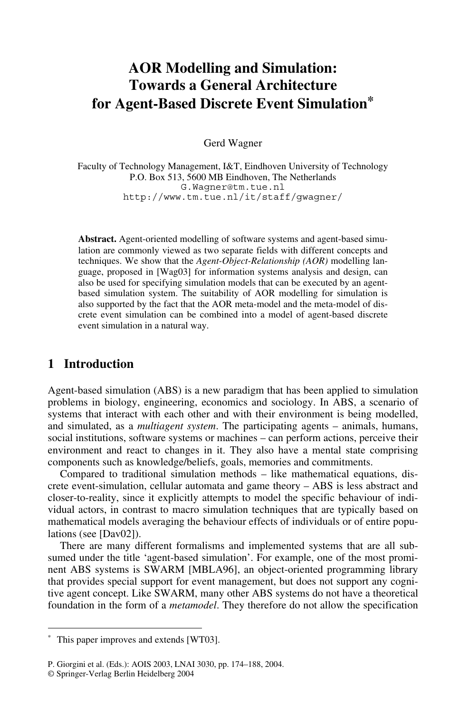# **AOR Modelling and Simulation: Towards a General Architecture for Agent-Based Discrete Event Simulation\***

Gerd Wagner

Faculty of Technology Management, I&T, Eindhoven University of Technology P.O. Box 513, 5600 MB Eindhoven, The Netherlands G.Wagner@tm.tue.nl http://www.tm.tue.nl/it/staff/gwagner/

**Abstract.** Agent-oriented modelling of software systems and agent-based simulation are commonly viewed as two separate fields with different concepts and techniques. We show that the *Agent-Object-Relationship (AOR)* modelling language, proposed in [Wag03] for information systems analysis and design, can also be used for specifying simulation models that can be executed by an agentbased simulation system. The suitability of AOR modelling for simulation is also supported by the fact that the AOR meta-model and the meta-model of discrete event simulation can be combined into a model of agent-based discrete event simulation in a natural way.

### **1 Introduction**

Agent-based simulation (ABS) is a new paradigm that has been applied to simulation problems in biology, engineering, economics and sociology. In ABS, a scenario of systems that interact with each other and with their environment is being modelled, and simulated, as a *multiagent system*. The participating agents – animals, humans, social institutions, software systems or machines – can perform actions, perceive their environment and react to changes in it. They also have a mental state comprising components such as knowledge/beliefs, goals, memories and commitments.

Compared to traditional simulation methods – like mathematical equations, discrete event-simulation, cellular automata and game theory – ABS is less abstract and closer-to-reality, since it explicitly attempts to model the specific behaviour of individual actors, in contrast to macro simulation techniques that are typically based on mathematical models averaging the behaviour effects of individuals or of entire populations (see [Dav02]).

There are many different formalisms and implemented systems that are all subsumed under the title 'agent-based simulation'. For example, one of the most prominent ABS systems is SWARM [MBLA96], an object-oriented programming library that provides special support for event management, but does not support any cognitive agent concept. Like SWARM, many other ABS systems do not have a theoretical foundation in the form of a *metamodel*. They therefore do not allow the specification

1

<sup>\*</sup> This paper improves and extends [WT03].

P. Giorgini et al. (Eds.): AOIS 2003, LNAI 3030, pp. 174–188, 2004.

<sup>©</sup> Springer-Verlag Berlin Heidelberg 2004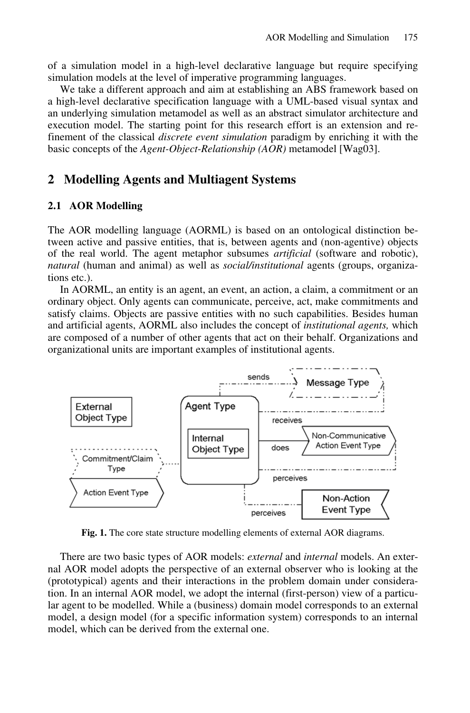of a simulation model in a high-level declarative language but require specifying simulation models at the level of imperative programming languages.

We take a different approach and aim at establishing an ABS framework based on a high-level declarative specification language with a UML-based visual syntax and an underlying simulation metamodel as well as an abstract simulator architecture and execution model. The starting point for this research effort is an extension and refinement of the classical *discrete event simulation* paradigm by enriching it with the basic concepts of the *Agent-Object-Relationship (AOR)* metamodel [Wag03].

## **2 Modelling Agents and Multiagent Systems**

#### **2.1 AOR Modelling**

The AOR modelling language (AORML) is based on an ontological distinction between active and passive entities, that is, between agents and (non-agentive) objects of the real world. The agent metaphor subsumes *artificial* (software and robotic), *natural* (human and animal) as well as *social/institutional* agents (groups, organizations etc.).

In AORML, an entity is an agent, an event, an action, a claim, a commitment or an ordinary object. Only agents can communicate, perceive, act, make commitments and satisfy claims. Objects are passive entities with no such capabilities. Besides human and artificial agents, AORML also includes the concept of *institutional agents,* which are composed of a number of other agents that act on their behalf. Organizations and organizational units are important examples of institutional agents.



**Fig. 1.** The core state structure modelling elements of external AOR diagrams.

There are two basic types of AOR models: *external* and *internal* models. An external AOR model adopts the perspective of an external observer who is looking at the (prototypical) agents and their interactions in the problem domain under consideration. In an internal AOR model, we adopt the internal (first-person) view of a particular agent to be modelled. While a (business) domain model corresponds to an external model, a design model (for a specific information system) corresponds to an internal model, which can be derived from the external one.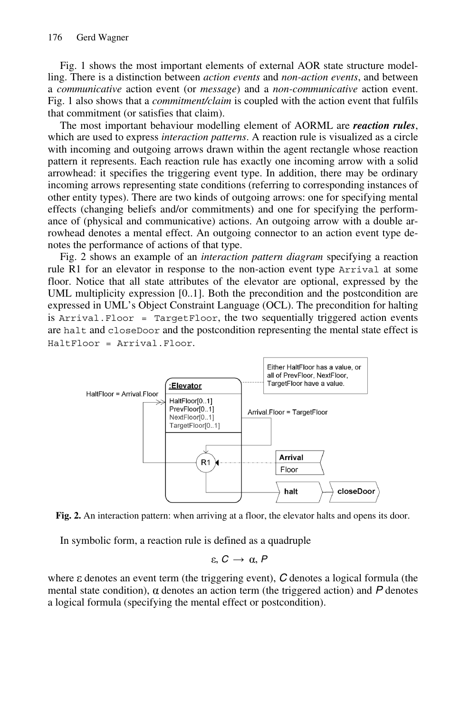Fig. 1 shows the most important elements of external AOR state structure modelling. There is a distinction between *action events* and *non-action events*, and between a *communicative* action event (or *message*) and a *non-communicative* action event. Fig. 1 also shows that a *commitment/claim* is coupled with the action event that fulfils that commitment (or satisfies that claim).

The most important behaviour modelling element of AORML are *reaction rules*, which are used to express *interaction patterns*. A reaction rule is visualized as a circle with incoming and outgoing arrows drawn within the agent rectangle whose reaction pattern it represents. Each reaction rule has exactly one incoming arrow with a solid arrowhead: it specifies the triggering event type. In addition, there may be ordinary incoming arrows representing state conditions (referring to corresponding instances of other entity types). There are two kinds of outgoing arrows: one for specifying mental effects (changing beliefs and/or commitments) and one for specifying the performance of (physical and communicative) actions. An outgoing arrow with a double arrowhead denotes a mental effect. An outgoing connector to an action event type denotes the performance of actions of that type.

Fig. 2 shows an example of an *interaction pattern diagram* specifying a reaction rule R1 for an elevator in response to the non-action event type Arrival at some floor. Notice that all state attributes of the elevator are optional, expressed by the UML multiplicity expression [0..1]. Both the precondition and the postcondition are expressed in UML's Object Constraint Language (OCL). The precondition for halting is  $Arrival.Floor = TargetFloor$ , the two sequentially triggered action events are halt and closeDoor and the postcondition representing the mental state effect is HaltFloor = Arrival.Floor.





In symbolic form, a reaction rule is defined as a quadruple

$$
\varepsilon,\,C\,\rightarrow\,\alpha,\,P
$$

where  $\varepsilon$  denotes an event term (the triggering event),  $C$  denotes a logical formula (the mental state condition),  $\alpha$  denotes an action term (the triggered action) and  $P$  denotes a logical formula (specifying the mental effect or postcondition).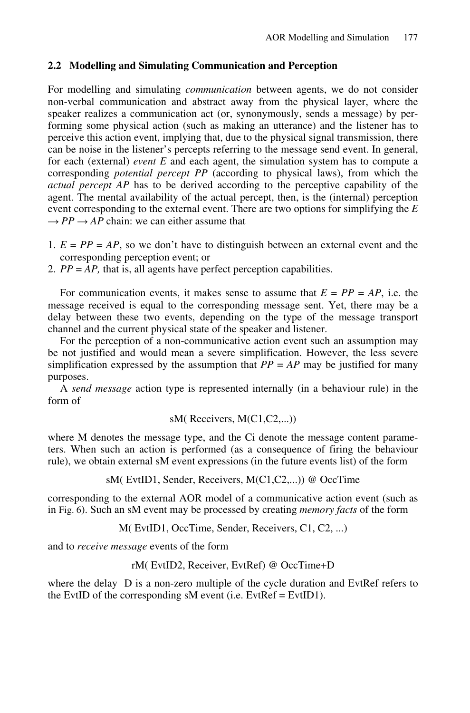#### **2.2 Modelling and Simulating Communication and Perception**

For modelling and simulating *communication* between agents, we do not consider non-verbal communication and abstract away from the physical layer, where the speaker realizes a communication act (or, synonymously, sends a message) by performing some physical action (such as making an utterance) and the listener has to perceive this action event, implying that, due to the physical signal transmission, there can be noise in the listener's percepts referring to the message send event. In general, for each (external) *event E* and each agent, the simulation system has to compute a corresponding *potential percept PP* (according to physical laws), from which the *actual percept AP* has to be derived according to the perceptive capability of the agent. The mental availability of the actual percept, then, is the (internal) perception event corresponding to the external event. There are two options for simplifying the *E*  $\rightarrow PP \rightarrow AP$  chain: we can either assume that

- 1.  $E = PP = AP$ , so we don't have to distinguish between an external event and the corresponding perception event; or
- 2.  $PP = AP$ , that is, all agents have perfect perception capabilities.

For communication events, it makes sense to assume that  $E = PP = AP$ , i.e. the message received is equal to the corresponding message sent. Yet, there may be a delay between these two events, depending on the type of the message transport channel and the current physical state of the speaker and listener.

For the perception of a non-communicative action event such an assumption may be not justified and would mean a severe simplification. However, the less severe simplification expressed by the assumption that  $PP = AP$  may be justified for many purposes.

A *send message* action type is represented internally (in a behaviour rule) in the form of

sM(
$$
Receivers, M(C1, C2, ...)
$$
)

where M denotes the message type, and the Ci denote the message content parameters. When such an action is performed (as a consequence of firing the behaviour rule), we obtain external sM event expressions (in the future events list) of the form

```
sM( EvtID1, Sender, Receivers, M(C1,C2,...)) @ OccTime
```
corresponding to the external AOR model of a communicative action event (such as in Fig. 6). Such an sM event may be processed by creating *memory facts* of the form

M( EvtID1, OccTime, Sender, Receivers, C1, C2, ...)

and to *receive message* events of the form

```
rM( EvtID2, Receiver, EvtRef) @ OccTime+D
```
where the delay D is a non-zero multiple of the cycle duration and EvtRef refers to the EvtID of the corresponding sM event (i.e. EvtRef = EvtID1).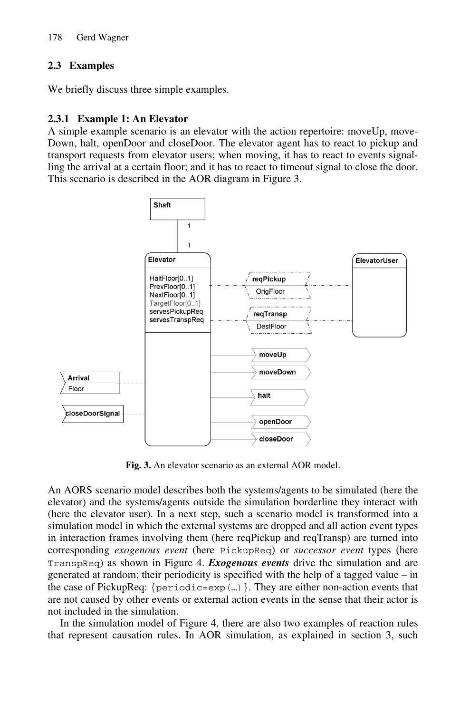## **2.3 Examples**

We briefly discuss three simple examples.

### **2.3.1 Example 1: An Elevator**

A simple example scenario is an elevator with the action repertoire: moveUp, move-Down, halt, openDoor and closeDoor. The elevator agent has to react to pickup and transport requests from elevator users; when moving, it has to react to events signalling the arrival at a certain floor; and it has to react to timeout signal to close the door. This scenario is described in the AOR diagram in Figure 3.



**Fig. 3.** An elevator scenario as an external AOR model.

An AORS scenario model describes both the systems/agents to be simulated (here the elevator) and the systems/agents outside the simulation borderline they interact with (here the elevator user). In a next step, such a scenario model is transformed into a simulation model in which the external systems are dropped and all action event types in interaction frames involving them (here reqPickup and reqTransp) are turned into corresponding *exogenous event* (here PickupReq) or *successor event* types (here TranspReq) as shown in Figure 4. *Exogenous events* drive the simulation and are generated at random; their periodicity is specified with the help of a tagged value – in the case of PickupReq:  $\{periodic=exp(...)\}$ . They are either non-action events that are not caused by other events or external action events in the sense that their actor is not included in the simulation.

In the simulation model of Figure 4, there are also two examples of reaction rules that represent causation rules. In AOR simulation, as explained in section 3, such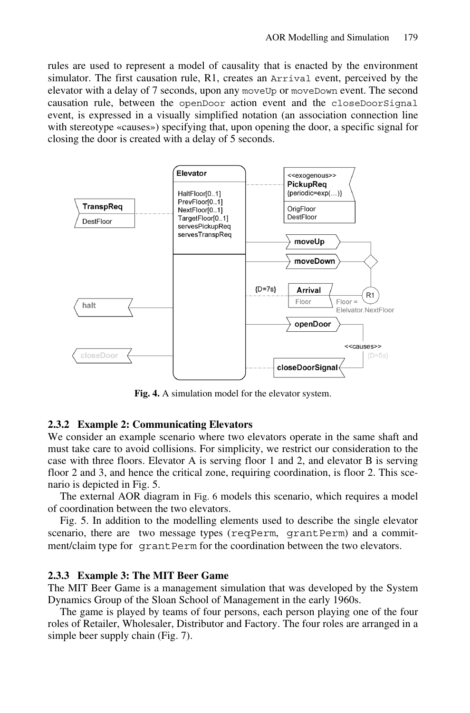rules are used to represent a model of causality that is enacted by the environment simulator. The first causation rule, R1, creates an Arrival event, perceived by the elevator with a delay of 7 seconds, upon any moveUp or moveDown event. The second causation rule, between the openDoor action event and the closeDoorSignal event, is expressed in a visually simplified notation (an association connection line with stereotype «causes») specifying that, upon opening the door, a specific signal for closing the door is created with a delay of 5 seconds.



**Fig. 4.** A simulation model for the elevator system.

#### **2.3.2 Example 2: Communicating Elevators**

We consider an example scenario where two elevators operate in the same shaft and must take care to avoid collisions. For simplicity, we restrict our consideration to the case with three floors. Elevator A is serving floor 1 and 2, and elevator B is serving floor 2 and 3, and hence the critical zone, requiring coordination, is floor 2. This scenario is depicted in Fig. 5.

The external AOR diagram in Fig. 6 models this scenario, which requires a model of coordination between the two elevators.

Fig. 5. In addition to the modelling elements used to describe the single elevator scenario, there are two message types (reqPerm, qrantPerm) and a commitment/claim type for grantPerm for the coordination between the two elevators.

#### **2.3.3 Example 3: The MIT Beer Game**

The MIT Beer Game is a management simulation that was developed by the System Dynamics Group of the Sloan School of Management in the early 1960s.

The game is played by teams of four persons, each person playing one of the four roles of Retailer, Wholesaler, Distributor and Factory. The four roles are arranged in a simple beer supply chain (Fig. 7).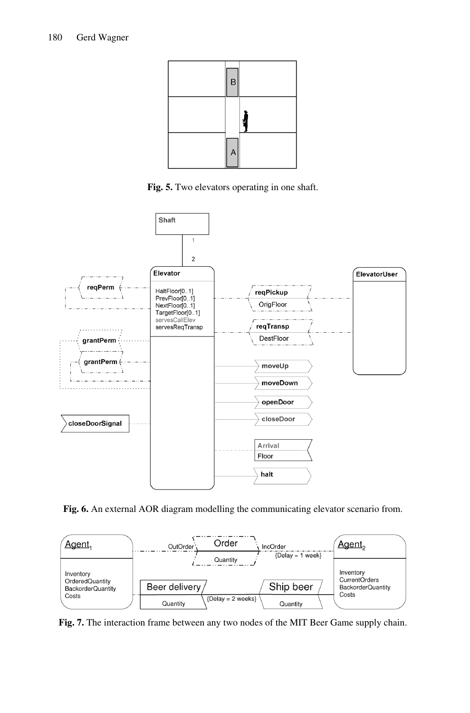

**Fig. 5.** Two elevators operating in one shaft.



**Fig. 6.** An external AOR diagram modelling the communicating elevator scenario from.



**Fig. 7.** The interaction frame between any two nodes of the MIT Beer Game supply chain.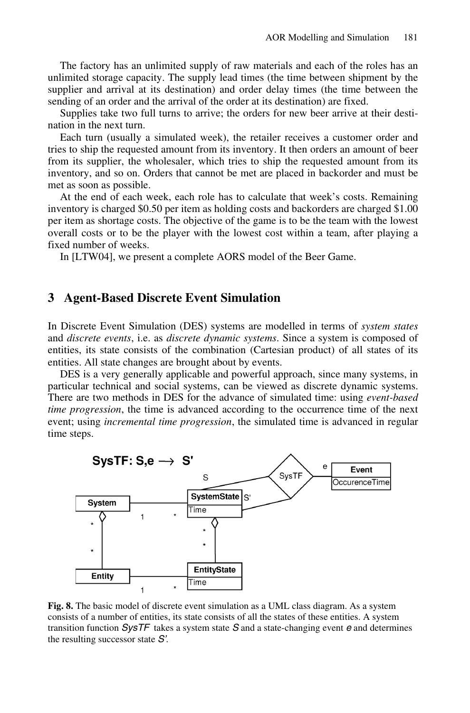The factory has an unlimited supply of raw materials and each of the roles has an unlimited storage capacity. The supply lead times (the time between shipment by the supplier and arrival at its destination) and order delay times (the time between the sending of an order and the arrival of the order at its destination) are fixed.

Supplies take two full turns to arrive; the orders for new beer arrive at their destination in the next turn.

Each turn (usually a simulated week), the retailer receives a customer order and tries to ship the requested amount from its inventory. It then orders an amount of beer from its supplier, the wholesaler, which tries to ship the requested amount from its inventory, and so on. Orders that cannot be met are placed in backorder and must be met as soon as possible.

At the end of each week, each role has to calculate that week's costs. Remaining inventory is charged \$0.50 per item as holding costs and backorders are charged \$1.00 per item as shortage costs. The objective of the game is to be the team with the lowest overall costs or to be the player with the lowest cost within a team, after playing a fixed number of weeks.

In [LTW04], we present a complete AORS model of the Beer Game.

#### **3 Agent-Based Discrete Event Simulation**

In Discrete Event Simulation (DES) systems are modelled in terms of *system states* and *discrete events*, i.e. as *discrete dynamic systems*. Since a system is composed of entities, its state consists of the combination (Cartesian product) of all states of its entities. All state changes are brought about by events.

DES is a very generally applicable and powerful approach, since many systems, in particular technical and social systems, can be viewed as discrete dynamic systems. There are two methods in DES for the advance of simulated time: using *event-based time progression*, the time is advanced according to the occurrence time of the next event; using *incremental time progression*, the simulated time is advanced in regular time steps.



**Fig. 8.** The basic model of discrete event simulation as a UML class diagram. As a system consists of a number of entities, its state consists of all the states of these entities. A system transition function *SysTF* takes a system state *S* and a state-changing event *e* and determines the resulting successor state *S'*.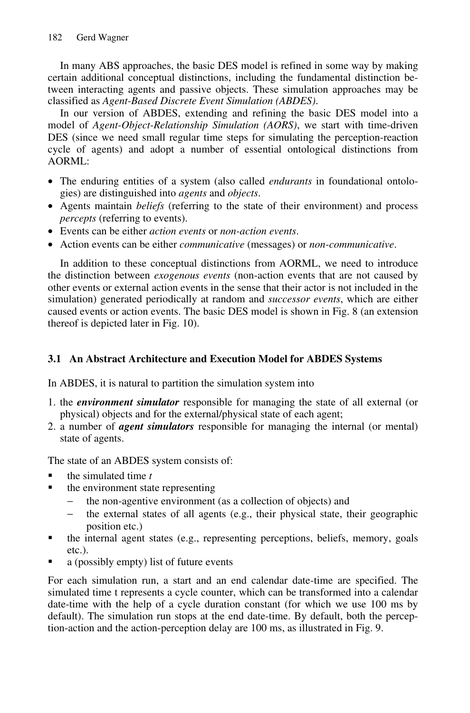In many ABS approaches, the basic DES model is refined in some way by making certain additional conceptual distinctions, including the fundamental distinction between interacting agents and passive objects. These simulation approaches may be classified as *Agent-Based Discrete Event Simulation (ABDES)*.

In our version of ABDES, extending and refining the basic DES model into a model of *Agent-Object-Relationship Simulation (AORS)*, we start with time-driven DES (since we need small regular time steps for simulating the perception-reaction cycle of agents) and adopt a number of essential ontological distinctions from AORML:

- The enduring entities of a system (also called *endurants* in foundational ontologies) are distinguished into *agents* and *objects*.
- Agents maintain *beliefs* (referring to the state of their environment) and process *percepts* (referring to events).
- Events can be either *action events* or *non-action events*.
- Action events can be either *communicative* (messages) or *non-communicative*.

In addition to these conceptual distinctions from AORML, we need to introduce the distinction between *exogenous events* (non-action events that are not caused by other events or external action events in the sense that their actor is not included in the simulation) generated periodically at random and *successor events*, which are either caused events or action events. The basic DES model is shown in Fig. 8 (an extension thereof is depicted later in Fig. 10).

#### **3.1 An Abstract Architecture and Execution Model for ABDES Systems**

In ABDES, it is natural to partition the simulation system into

- 1. the *environment simulator* responsible for managing the state of all external (or physical) objects and for the external/physical state of each agent;
- 2. a number of *agent simulators* responsible for managing the internal (or mental) state of agents.

The state of an ABDES system consists of:

- the simulated time *t*
- the environment state representing
	- the non-agentive environment (as a collection of objects) and
	- the external states of all agents (e.g., their physical state, their geographic position etc.)
- the internal agent states (e.g., representing perceptions, beliefs, memory, goals etc.).
- a (possibly empty) list of future events

For each simulation run, a start and an end calendar date-time are specified. The simulated time t represents a cycle counter, which can be transformed into a calendar date-time with the help of a cycle duration constant (for which we use 100 ms by default). The simulation run stops at the end date-time. By default, both the perception-action and the action-perception delay are 100 ms, as illustrated in Fig. 9.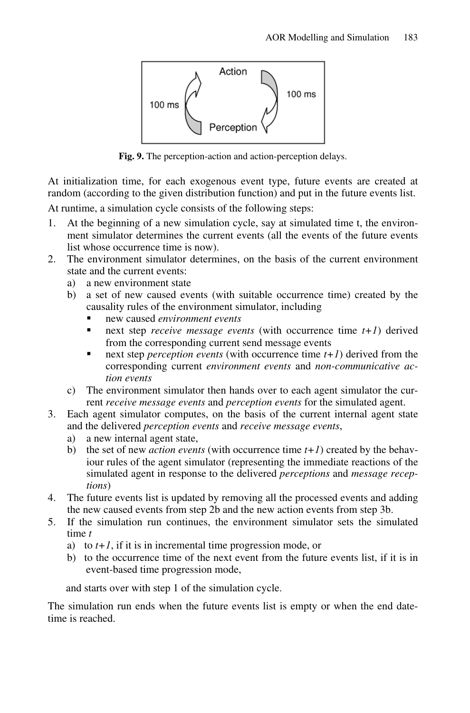

**Fig. 9.** The perception-action and action-perception delays.

At initialization time, for each exogenous event type, future events are created at random (according to the given distribution function) and put in the future events list. At runtime, a simulation cycle consists of the following steps:

- 1. At the beginning of a new simulation cycle, say at simulated time t, the environment simulator determines the current events (all the events of the future events list whose occurrence time is now).
- 2. The environment simulator determines, on the basis of the current environment state and the current events:
	- a) a new environment state
	- b) a set of new caused events (with suitable occurrence time) created by the causality rules of the environment simulator, including
		- new caused *environment events*
		- next step *receive message events* (with occurrence time *t+1*) derived from the corresponding current send message events
		- next step *perception events* (with occurrence time *t+1*) derived from the corresponding current *environment events* and *non-communicative action events*
	- c) The environment simulator then hands over to each agent simulator the current *receive message events* and *perception events* for the simulated agent.
- 3. Each agent simulator computes, on the basis of the current internal agent state and the delivered *perception events* and *receive message events*,
	- a) a new internal agent state,
	- b) the set of new *action events* (with occurrence time *t+1*) created by the behaviour rules of the agent simulator (representing the immediate reactions of the simulated agent in response to the delivered *perceptions* and *message receptions*)
- 4. The future events list is updated by removing all the processed events and adding the new caused events from step 2b and the new action events from step 3b.
- 5. If the simulation run continues, the environment simulator sets the simulated time *t*
	- a) to *t+1*, if it is in incremental time progression mode, or
	- b) to the occurrence time of the next event from the future events list, if it is in event-based time progression mode,

and starts over with step 1 of the simulation cycle.

The simulation run ends when the future events list is empty or when the end datetime is reached.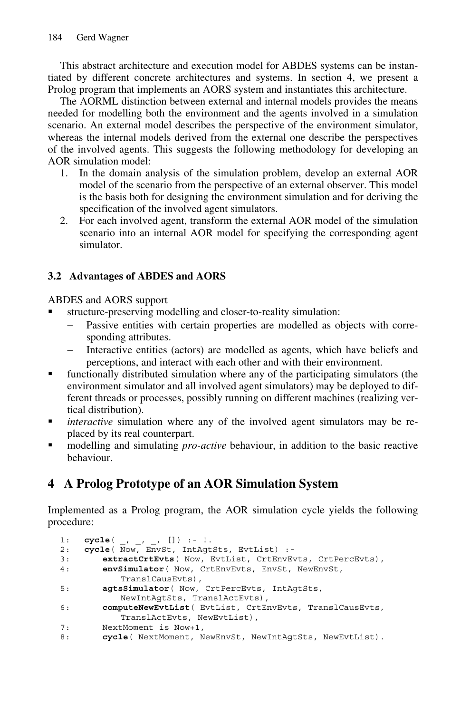This abstract architecture and execution model for ABDES systems can be instantiated by different concrete architectures and systems. In section 4, we present a Prolog program that implements an AORS system and instantiates this architecture.

The AORML distinction between external and internal models provides the means needed for modelling both the environment and the agents involved in a simulation scenario. An external model describes the perspective of the environment simulator, whereas the internal models derived from the external one describe the perspectives of the involved agents. This suggests the following methodology for developing an AOR simulation model:

- 1. In the domain analysis of the simulation problem, develop an external AOR model of the scenario from the perspective of an external observer. This model is the basis both for designing the environment simulation and for deriving the specification of the involved agent simulators.
- 2. For each involved agent, transform the external AOR model of the simulation scenario into an internal AOR model for specifying the corresponding agent simulator.

## **3.2 Advantages of ABDES and AORS**

ABDES and AORS support

- structure-preserving modelling and closer-to-reality simulation:
	- − Passive entities with certain properties are modelled as objects with corresponding attributes.
	- Interactive entities (actors) are modelled as agents, which have beliefs and perceptions, and interact with each other and with their environment.
- functionally distributed simulation where any of the participating simulators (the environment simulator and all involved agent simulators) may be deployed to different threads or processes, possibly running on different machines (realizing vertical distribution).
- *interactive* simulation where any of the involved agent simulators may be replaced by its real counterpart.
- modelling and simulating *pro-active* behaviour, in addition to the basic reactive behaviour.

# **4 A Prolog Prototype of an AOR Simulation System**

Implemented as a Prolog program, the AOR simulation cycle yields the following procedure:

```
1: cycle( _, _, _, []) :- !.
2: cycle( Now, EnvSt, IntAgtSts, EvtList) :- 
3: extractCrtEvts( Now, EvtList, CrtEnvEvts, CrtPercEvts), 
4: envSimulator( Now, CrtEnvEvts, EnvSt, NewEnvSt, 
            TranslCausEvts), 
5: agtsSimulator( Now, CrtPercEvts, IntAgtSts, 
            NewIntAgtSts, TranslActEvts), 
6: computeNewEvtList( EvtList, CrtEnvEvts, TranslCausEvts, 
            TranslActEvts, NewEvtList), 
7: NextMoment is Now+1, 
8: cycle( NextMoment, NewEnvSt, NewIntAgtSts, NewEvtList).
```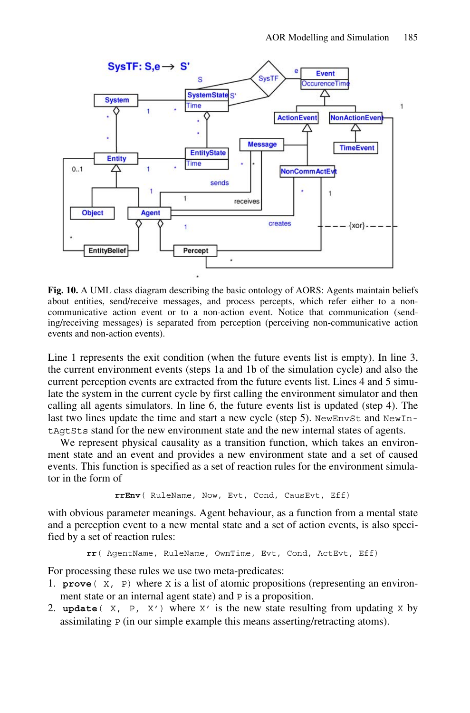

**Fig. 10.** A UML class diagram describing the basic ontology of AORS: Agents maintain beliefs about entities, send/receive messages, and process percepts, which refer either to a noncommunicative action event or to a non-action event. Notice that communication (sending/receiving messages) is separated from perception (perceiving non-communicative action events and non-action events).

Line 1 represents the exit condition (when the future events list is empty). In line 3, the current environment events (steps 1a and 1b of the simulation cycle) and also the current perception events are extracted from the future events list. Lines 4 and 5 simulate the system in the current cycle by first calling the environment simulator and then calling all agents simulators. In line 6, the future events list is updated (step 4). The last two lines update the time and start a new cycle (step 5). NewEnvSt and NewIntAgtSts stand for the new environment state and the new internal states of agents.

We represent physical causality as a transition function, which takes an environment state and an event and provides a new environment state and a set of caused events. This function is specified as a set of reaction rules for the environment simulator in the form of

```
rrEnv( RuleName, Now, Evt, Cond, CausEvt, Eff)
```
with obvious parameter meanings. Agent behaviour, as a function from a mental state and a perception event to a new mental state and a set of action events, is also specified by a set of reaction rules:

**rr**( AgentName, RuleName, OwnTime, Evt, Cond, ActEvt, Eff)

For processing these rules we use two meta-predicates:

- 1. **prove**( X, P) where X is a list of atomic propositions (representing an environment state or an internal agent state) and P is a proposition.
- 2. **update**( X, P, X') where X' is the new state resulting from updating X by assimilating P (in our simple example this means asserting/retracting atoms).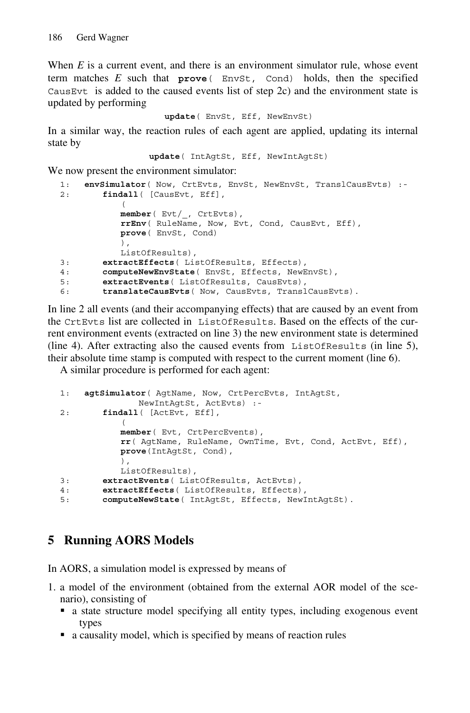When *E* is a current event, and there is an environment simulator rule, whose event term matches *E* such that **prove**( EnvSt, Cond) holds, then the specified CausEvt is added to the caused events list of step 2c) and the environment state is updated by performing

**update**( EnvSt, Eff, NewEnvSt)

In a similar way, the reaction rules of each agent are applied, updating its internal state by

**update**( IntAgtSt, Eff, NewIntAgtSt)

We now present the environment simulator:

| 1:  | envSimulator (Now, CrtEvts, EnvSt, NewEnvSt, TranslCausEvts) :- |
|-----|-----------------------------------------------------------------|
| 2:  | $\texttt{findall}$ ( [CausEvt, Eff],                            |
|     |                                                                 |
|     | $member ( Evt /$ , $CrtEvts)$ ,                                 |
|     | <b>rrEnv</b> (RuleName, Now, Evt, Cond, CausEvt, Eff),          |
|     | <b>prove</b> (EnvSt, Cond)                                      |
|     |                                                                 |
|     | ListOfResults),                                                 |
| 3:  | extractEffects ( ListOfResults, Effects),                       |
| 4 : | computeNewEnvState ( EnvSt, Effects, NewEnvSt),                 |
| 5:  | extractEvents (ListOfResults, CausEvts),                        |
| 6 : | translateCausEvts ( Now, CausEvts, TranslCausEvts).             |

In line 2 all events (and their accompanying effects) that are caused by an event from the CrtEvts list are collected in ListOfResults. Based on the effects of the current environment events (extracted on line 3) the new environment state is determined (line 4). After extracting also the caused events from ListOfResults (in line 5), their absolute time stamp is computed with respect to the current moment (line 6).

A similar procedure is performed for each agent:

```
1: agtSimulator( AgtName, Now, CrtPercEvts, IntAgtSt, 
                NewIntAgtSt, ActEvts) :- 
2: findall( [ActEvt, Eff], 
\overline{\phantom{a}} member( Evt, CrtPercEvents), 
             rr( AgtName, RuleName, OwnTime, Evt, Cond, ActEvt, Eff), 
             prove(IntAgtSt, Cond), 
             ), 
             ListOfResults), 
3: extractEvents( ListOfResults, ActEvts), 
4: extractEffects( ListOfResults, Effects), 
5: computeNewState( IntAgtSt, Effects, NewIntAgtSt).
```
## **5 Running AORS Models**

In AORS, a simulation model is expressed by means of

- 1. a model of the environment (obtained from the external AOR model of the scenario), consisting of
	- a state structure model specifying all entity types, including exogenous event types
	- -a causality model, which is specified by means of reaction rules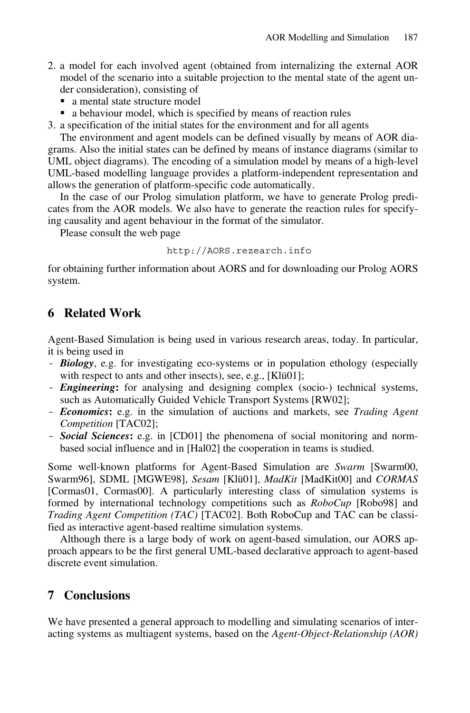- 2. a model for each involved agent (obtained from internalizing the external AOR model of the scenario into a suitable projection to the mental state of the agent under consideration), consisting of
	- a mental state structure model
	- a behaviour model, which is specified by means of reaction rules
- 3. a specification of the initial states for the environment and for all agents

The environment and agent models can be defined visually by means of AOR diagrams. Also the initial states can be defined by means of instance diagrams (similar to UML object diagrams). The encoding of a simulation model by means of a high-level UML-based modelling language provides a platform-independent representation and allows the generation of platform-specific code automatically.

In the case of our Prolog simulation platform, we have to generate Prolog predicates from the AOR models. We also have to generate the reaction rules for specifying causality and agent behaviour in the format of the simulator.

Please consult the web page

```
http://AORS.rezearch.info
```
for obtaining further information about AORS and for downloading our Prolog AORS system.

## **6 Related Work**

Agent-Based Simulation is being used in various research areas, today. In particular, it is being used in

- *Biology*, e.g. for investigating eco-systems or in population ethology (especially with respect to ants and other insects), see, e.g., [Klü01];
- *Engineering***:** for analysing and designing complex (socio-) technical systems, such as Automatically Guided Vehicle Transport Systems [RW02];
- *Economics***:** e.g. in the simulation of auctions and markets, see *Trading Agent Competition* [TAC02];
- *Social Sciences***:** e.g. in [CD01] the phenomena of social monitoring and normbased social influence and in [Hal02] the cooperation in teams is studied.

Some well-known platforms for Agent-Based Simulation are *Swarm* [Swarm00, Swarm96], SDML [MGWE98], *Sesam* [Klü01], *MadKit* [MadKit00] and *CORMAS* [Cormas01, Cormas00]. A particularly interesting class of simulation systems is formed by international technology competitions such as *RoboCup* [Robo98] and *Trading Agent Competition (TAC)* [TAC02]. Both RoboCup and TAC can be classified as interactive agent-based realtime simulation systems.

Although there is a large body of work on agent-based simulation, our AORS approach appears to be the first general UML-based declarative approach to agent-based discrete event simulation.

## **7 Conclusions**

We have presented a general approach to modelling and simulating scenarios of interacting systems as multiagent systems, based on the *Agent-Object-Relationship (AOR)*